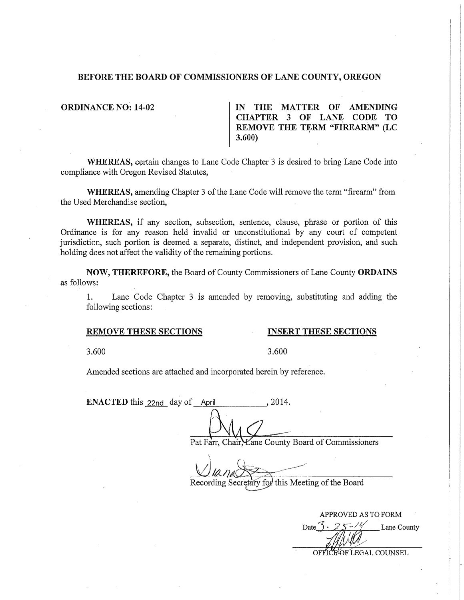## **BEFORE THE BOARD OF COMMISSIONERS OF LANE COUNTY, OREGON**

**ORDINANCE NO: 14-02 IN THE MATTER OF AMENDING CHAPTER 3 OF LANE CODE TO REMOVE THE TERM "FIREARM" (LC 3.600)** 

**WHEREAS,** certain changes to Lane Code Chapter 3 is desired to bring Lane Code into compliance with Oregon Revised Statutes,

**WHEREAS,** amending Chapter 3 of the Lane Code will remove the term "fireatm" from the Used Merchandise section,

**WHEREAS,** if any section, subsection, sentence, clause, phrase or portion of this Ordinance is for any reason held invalid or unconstitutional by any court of competent jurisdiction, such portion is deemed a separate, distinct, and independent provision, and such holding does not affect the validity of the remaining portions.

**NOW, THEREFORE,** the Board of County Commissioners of Lane County **ORDAINS**  as follows:

1. Lane Code Chapter 3 is amended by removing, substituting and adding the following sections:

## **REMOVE THESE SECTIONS INSERT THESE SECTIONS**

3.600 3.600

Amended sections are attached and incorporated herein by reference.

**ENACTED** this 22nd day of April , 2014.

Pat Farr, Chair, Lane County Board of Commissioners

Recording Secretary for this Meeting of the Board

APPROVED AS TO FORM Lane County Date OFFICE OF LEGAL COUNSEL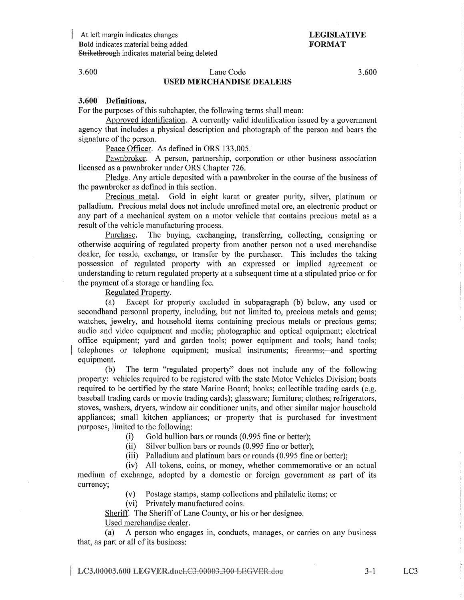At left margin indicates changes Bold indicates material being added 8trikethrough indicates material being deleted

# LEGISLATIVE FORMAT

## 3.600 Lane Code 3.600 USED MERCHANDISE DEALERS

3.600 Definitions.

For the purposes of this subchapter, the following terms shall mean:

Approved identification. A currently valid identification issued by a government agency that includes a physical description and photograph of the person and bears the signature of the person.

Peace Officer. As defined in ORS 133.005.

Pawnbroker. A person, partnership, corporation or other business association licensed as a pawnbroker under ORS Chapter 726.

Pledge. Any article deposited with a pawnbroker in the course of the business of the pawnbroker as defined in this section.

Precious metal. Gold in eight karat or greater purity, silver, platinum or palladium. Precious metal does not include unrefined metal ore, an electronic product or any part of a mechanical system on a motor vehicle that contains precious metal as a result of the vehicle manufacturing process.

Purchase. The buying, exchanging, transferring, collecting, consigning or otherwise acquiring of regulated property from another person not a used merchandise dealer, for resale, exchange, or transfer by the purchaser. This includes the taking possession of regulated propetiy with an expressed or implied agreement or understanding to return regulated propetiy at a subsequent time at a stipulated price or for the payment of a storage or handling fee.

Regulated Property.

(a) Except for propetiy excluded in subparagraph (b) below, any used or secondhand personal property, including, but not limited to, precious metals and gems; watches, jewelry, and household items containing precious metals or precious gems; audio and video equipment and media; photographic and optical equipment; electrical office equipment; yard and garden tools; power equipment and tools; hand tools; telephones or telephone equipment; musical instruments; <del>firearms;</del> and sporting equipment.

(b) The term "regulated property" does not include any of the following property: vehicles required to be registered with the state Motor Vehicles Division; boats required to be certified by the state Marine Board; books; collectible trading cards (e.g. baseball trading cards or movie trading cards); glassware; furniture; clothes; refrigerators, stoves, washers, dryers, window air conditioner units, and other similar major household appliances; small kitchen appliances; or property that is purchased for investment purposes, limited to the following:

(i) Gold bullion bars or rounds (0.995 fine or better);

(ii) Silver bullion bars or rounds (0.995 fine or better);

(iii) Palladium and platinum bars or rounds (0.995 fine or better);

(iv) All tokens, coins, or money, whether commemorative or an actual medium of exchange, adopted by a domestic or foreign government as part of its currency;

(v) Postage stamps, stamp collections and philatelic items; or

(vi) Privately manufactured coins.

Sheriff. The Sheriff of Lane County, or his or her designee.

Used merchandise dealer.

(a) A person who engages in, conducts, manages, or carries on any business that, as part or all of its business:

LC3.00003.600 LEGVER.docLC3.00003.300 LEGVER.doe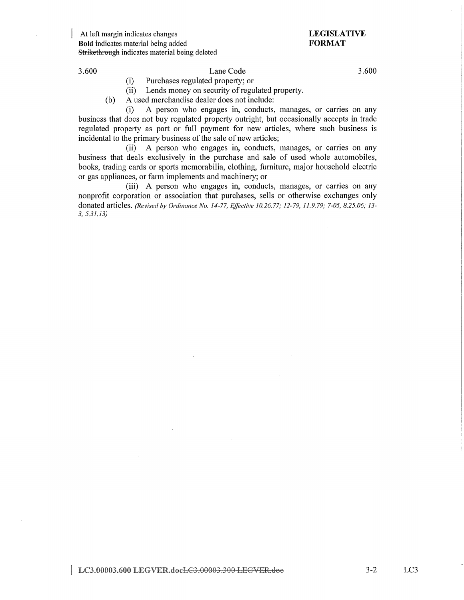At left margin indicates changes **Bold** indicates material being added Strikethrough indicates material being deleted

# **LEGISLATIVE FORMAT**

## 3.600 Lane Code

(i) Purchases regulated property; or

(ii) Lends money on security of regulated property.

(b) A used merchandise dealer does not include:

(i) A person who engages in, conducts, manages, or carries on any business that does not buy regulated property outright, but occasionally accepts in trade regulated property as part or full payment for new articles, where such business is incidental to the primary business of the sale of new articles;

(ii) A person who engages in, conducts, manages, or carries on any business that deals exclusively in the purchase and sale of used whole automobiles, books, trading cards or sports memorabilia, clothing, furniture, major household electric or gas appliances, or farm implements and machinery; or

(iii) A person who engages in, conducts, manages, or carries on any nonprofit corporation or association that purchases, sells or otherwise exchanges only donated articles. *(Revised* by *Ordinance No. 14-77, Effective 10.26.* 77; *12-79, 11.9. 79; 7-05, 8.25.06; 13- 3, 5.31.13)* 

3.600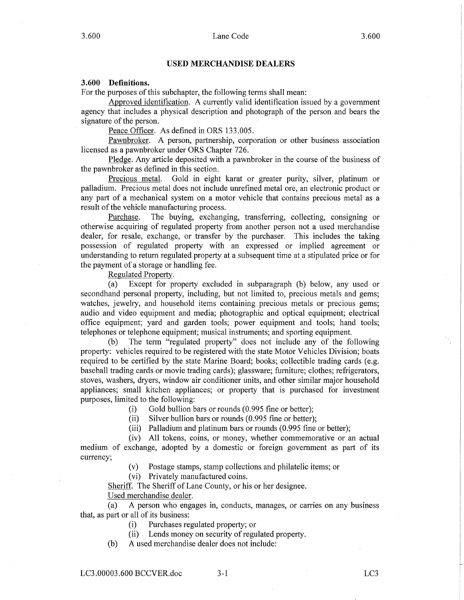### **USED MERCHANDISE DEALERS**

## **3.600 Definitions.**

For the purposes of this subchapter, the following terms shall mean:

Approved identification. A cunently valid identification issued by a government agency that includes a physical description and photograph of the person and bears the signature of the person.

Peace Officer. As defined in ORS 133.005.

Pawnbroker. A person, partnership, corporation or other business association licensed as a pawnbroker under ORS Chapter 726.

Pledge. Any article deposited with a pawnbroker in the course of the business of the pawnbroker as defined in this section.

Precious metal. Gold in eight karat or greater purity, silver, platinum or palladium. Precious metal does not include unrefined metal ore, an electronic product or any part of a mechanical system on a motor vehicle that contains precious metal as a result of the vehicle manufacturing process.

Purchase. The buying, exchanging, transferring, collecting, consigning or otherwise acquiring of regulated property from another person not a used merchandise dealer, for resale, exchange, or transfer by the purchaser. This includes the taking possession of regulated property with an expressed or implied agreement or understanding to return regulated property at a subsequent time at a stipulated price or for the payment of a storage or handling fee.

Regulated Property.

(a) Except for property excluded in subparagraph (b) below, any used or secondhand personal property, including, but not limited to, precious metals and gems; watches, jewelry, and household items containing precious metals or precious gems; audio and video equipment and media; photographic and optical equipment; electrical office equipment; yard and garden tools; power equipment and tools; hand tools; telephones or telephone equipment; musical instruments; and sporting equipment.

(b) The term "regulated property" does not include any of the following property: vehicles required to be registered with the state Motor Vehicles Division; boats required to be certified by the state Marine Board; books; collectible trading cards (e.g. baseball trading cards or movie trading cards); glassware; furniture; clothes; refrigerators, stoves, washers, dryers, window air conditioner units, and other similar major household appliances; small kitchen appliances; or property that is purchased for investment purposes, limited to the following:

(i) Gold bullion bars or rounds (0.995 fme or better);

(ii) Silver bullion bars or rounds (0.995 fine or better);

(iii) Palladium and platinum bars or rounds (0.995 fine or better);

(iv) All tokens, coins, or money, whether commemorative or an actual medium of exchange, adopted by a domestic or foreign government as part of its currency;

(v) Postage stamps, stamp collections and philatelic items; or

(vi) Privately manufactured coins.

Sheriff. The Sheriff of Lane County, or his or her designee.

Used merchandise dealer.

(a) A person who engages in, conducts, manages, or carries on any business that, as part or all of its business:

(i) Purchases regulated property; or

(ii) Lends money on security of regulated property.

(b) A used merchandise dealer does not include: